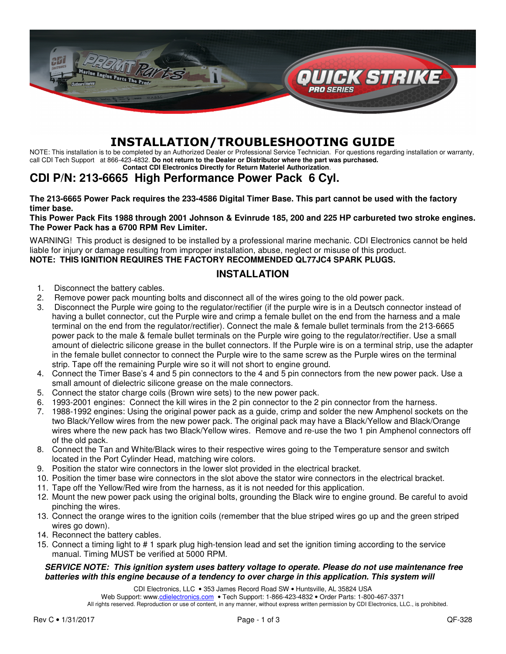

# INSTALLATION/TROUBLESHOOTING GUIDE

NOTE: This installation is to be completed by an Authorized Dealer or Professional Service Technician. For questions regarding installation or warranty, call CDI Tech Support at 866-423-4832. **Do not return to the Dealer or Distributor where the part was purchased. Contact CDI Electronics Directly for Return Materiel Authorization**.

# **CDI P/N: 213-6665 High Performance Power Pack 6 Cyl.**

**The 213-6665 Power Pack requires the 233-4586 Digital Timer Base. This part cannot be used with the factory timer base.** 

# **This Power Pack Fits 1988 through 2001 Johnson & Evinrude 185, 200 and 225 HP carbureted two stroke engines. The Power Pack has a 6700 RPM Rev Limiter.**

WARNING! This product is designed to be installed by a professional marine mechanic. CDI Electronics cannot be held liable for injury or damage resulting from improper installation, abuse, neglect or misuse of this product. **NOTE: THIS IGNITION REQUIRES THE FACTORY RECOMMENDED QL77JC4 SPARK PLUGS.** 

# **INSTALLATION**

- 1. Disconnect the battery cables.
- 2. Remove power pack mounting bolts and disconnect all of the wires going to the old power pack.
- 3. Disconnect the Purple wire going to the regulator/rectifier (if the purple wire is in a Deutsch connector instead of having a bullet connector, cut the Purple wire and crimp a female bullet on the end from the harness and a male terminal on the end from the regulator/rectifier). Connect the male & female bullet terminals from the 213-6665 power pack to the male & female bullet terminals on the Purple wire going to the regulator/rectifier. Use a small amount of dielectric silicone grease in the bullet connectors. If the Purple wire is on a terminal strip, use the adapter in the female bullet connector to connect the Purple wire to the same screw as the Purple wires on the terminal strip. Tape off the remaining Purple wire so it will not short to engine ground.
- 4. Connect the Timer Base's 4 and 5 pin connectors to the 4 and 5 pin connectors from the new power pack. Use a small amount of dielectric silicone grease on the male connectors.
- 5. Connect the stator charge coils (Brown wire sets) to the new power pack.
- 6. 1993-2001 engines: Connect the kill wires in the 2 pin connector to the 2 pin connector from the harness.
- 7. 1988-1992 engines: Using the original power pack as a guide, crimp and solder the new Amphenol sockets on the two Black/Yellow wires from the new power pack. The original pack may have a Black/Yellow and Black/Orange wires where the new pack has two Black/Yellow wires. Remove and re-use the two 1 pin Amphenol connectors off of the old pack.
- 8. Connect the Tan and White/Black wires to their respective wires going to the Temperature sensor and switch located in the Port Cylinder Head, matching wire colors.
- 9. Position the stator wire connectors in the lower slot provided in the electrical bracket.
- 10. Position the timer base wire connectors in the slot above the stator wire connectors in the electrical bracket.
- 11. Tape off the Yellow/Red wire from the harness, as it is not needed for this application.
- 12. Mount the new power pack using the original bolts, grounding the Black wire to engine ground. Be careful to avoid pinching the wires.
- 13. Connect the orange wires to the ignition coils (remember that the blue striped wires go up and the green striped wires go down).
- 14. Reconnect the battery cables.
- 15. Connect a timing light to # 1 spark plug high-tension lead and set the ignition timing according to the service manual. Timing MUST be verified at 5000 RPM.

#### **SERVICE NOTE: This ignition system uses battery voltage to operate. Please do not use maintenance free batteries with this engine because of a tendency to over charge in this application. This system will**

CDI Electronics, LLC • 353 James Record Road SW • Huntsville, AL 35824 USA

Web Support: www.cdielectronics.com • Tech Support: 1-866-423-4832 • Order Parts: 1-800-467-3371 All rights reserved. Reproduction or use of content, in any manner, without express written permission by CDI Electronics, LLC., is prohibited.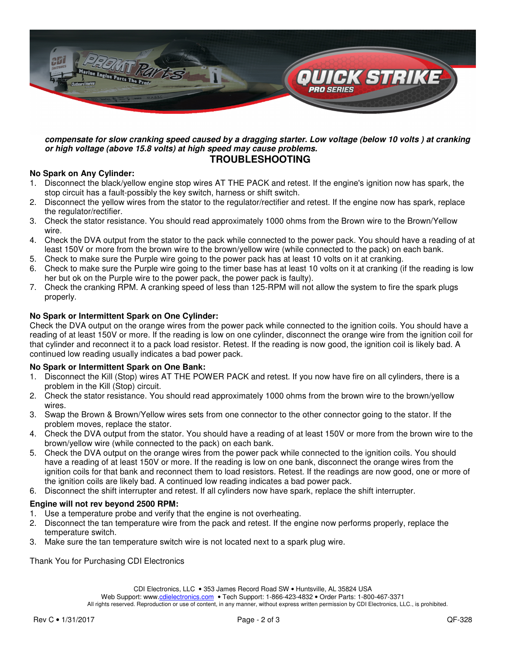

#### **compensate for slow cranking speed caused by a dragging starter. Low voltage (below 10 volts ) at cranking or high voltage (above 15.8 volts) at high speed may cause problems. TROUBLESHOOTING**

## **No Spark on Any Cylinder:**

- 1. Disconnect the black/yellow engine stop wires AT THE PACK and retest. If the engine's ignition now has spark, the stop circuit has a fault-possibly the key switch, harness or shift switch.
- 2. Disconnect the yellow wires from the stator to the regulator/rectifier and retest. If the engine now has spark, replace the regulator/rectifier.
- 3. Check the stator resistance. You should read approximately 1000 ohms from the Brown wire to the Brown/Yellow wire.
- 4. Check the DVA output from the stator to the pack while connected to the power pack. You should have a reading of at least 150V or more from the brown wire to the brown/yellow wire (while connected to the pack) on each bank.
- 5. Check to make sure the Purple wire going to the power pack has at least 10 volts on it at cranking.
- 6. Check to make sure the Purple wire going to the timer base has at least 10 volts on it at cranking (if the reading is low her but ok on the Purple wire to the power pack, the power pack is faulty).
- 7. Check the cranking RPM. A cranking speed of less than 125-RPM will not allow the system to fire the spark plugs properly.

# **No Spark or Intermittent Spark on One Cylinder:**

Check the DVA output on the orange wires from the power pack while connected to the ignition coils. You should have a reading of at least 150V or more. If the reading is low on one cylinder, disconnect the orange wire from the ignition coil for that cylinder and reconnect it to a pack load resistor. Retest. If the reading is now good, the ignition coil is likely bad. A continued low reading usually indicates a bad power pack.

## **No Spark or Intermittent Spark on One Bank:**

- 1. Disconnect the Kill (Stop) wires AT THE POWER PACK and retest. If you now have fire on all cylinders, there is a problem in the Kill (Stop) circuit.
- 2. Check the stator resistance. You should read approximately 1000 ohms from the brown wire to the brown/yellow wires.
- 3. Swap the Brown & Brown/Yellow wires sets from one connector to the other connector going to the stator. If the problem moves, replace the stator.
- 4. Check the DVA output from the stator. You should have a reading of at least 150V or more from the brown wire to the brown/yellow wire (while connected to the pack) on each bank.
- 5. Check the DVA output on the orange wires from the power pack while connected to the ignition coils. You should have a reading of at least 150V or more. If the reading is low on one bank, disconnect the orange wires from the ignition coils for that bank and reconnect them to load resistors. Retest. If the readings are now good, one or more of the ignition coils are likely bad. A continued low reading indicates a bad power pack.
- 6. Disconnect the shift interrupter and retest. If all cylinders now have spark, replace the shift interrupter.

## **Engine will not rev beyond 2500 RPM:**

- 1. Use a temperature probe and verify that the engine is not overheating.
- 2. Disconnect the tan temperature wire from the pack and retest. If the engine now performs properly, replace the temperature switch.
- 3. Make sure the tan temperature switch wire is not located next to a spark plug wire.

Thank You for Purchasing CDI Electronics

CDI Electronics, LLC • 353 James Record Road SW • Huntsville, AL 35824 USA

Web Support: www.cdielectronics.com • Tech Support: 1-866-423-4832 • Order Parts: 1-800-467-3371

All rights reserved. Reproduction or use of content, in any manner, without express written permission by CDI Electronics, LLC., is prohibited.